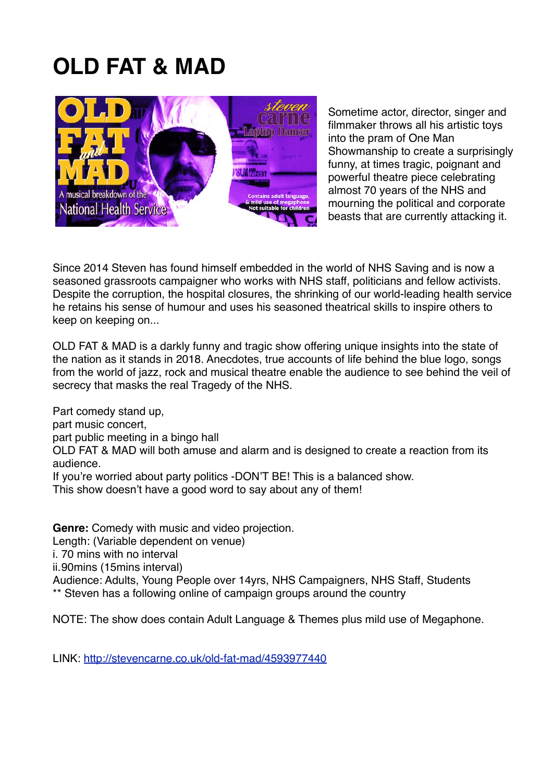# **OLD FAT & MAD**



Sometime actor, director, singer and filmmaker throws all his artistic toys into the pram of One Man Showmanship to create a surprisingly funny, at times tragic, poignant and powerful theatre piece celebrating almost 70 years of the NHS and mourning the political and corporate beasts that are currently attacking it.

Since 2014 Steven has found himself embedded in the world of NHS Saving and is now a seasoned grassroots campaigner who works with NHS staff, politicians and fellow activists. Despite the corruption, the hospital closures, the shrinking of our world-leading health service he retains his sense of humour and uses his seasoned theatrical skills to inspire others to keep on keeping on...

OLD FAT & MAD is a darkly funny and tragic show offering unique insights into the state of the nation as it stands in 2018. Anecdotes, true accounts of life behind the blue logo, songs from the world of jazz, rock and musical theatre enable the audience to see behind the veil of secrecy that masks the real Tragedy of the NHS.

Part comedy stand up, part music concert, part public meeting in a bingo hall OLD FAT & MAD will both amuse and alarm and is designed to create a reaction from its audience. If you're worried about party politics -DON'T BE! This is a balanced show. This show doesn't have a good word to say about any of them!

**Genre:** Comedy with music and video projection. Length: (Variable dependent on venue) i. 70 mins with no interval ii.90mins (15mins interval) Audience: Adults, Young People over 14yrs, NHS Campaigners, NHS Staff, Students \*\* Steven has a following online of campaign groups around the country

NOTE: The show does contain Adult Language & Themes plus mild use of Megaphone.

LINK:<http://stevencarne.co.uk/old-fat-mad/4593977440>